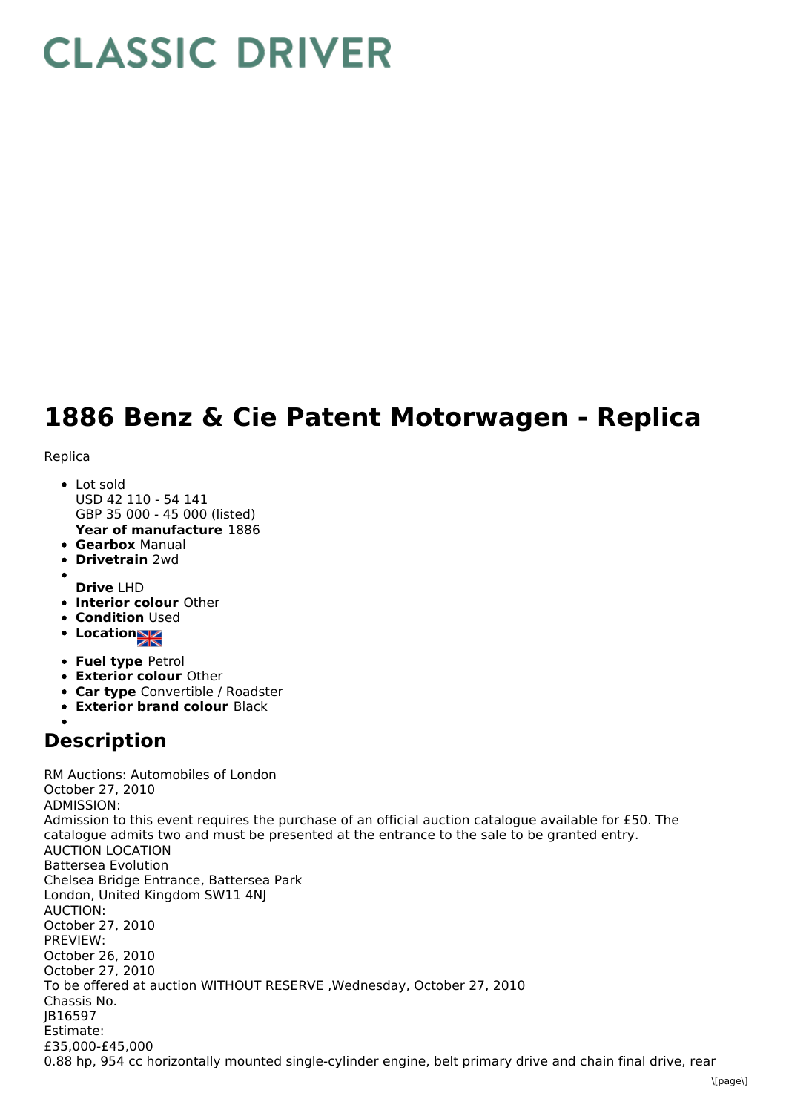## **CLASSIC DRIVER**

## **1886 Benz & Cie Patent Motorwagen - Replica**

Replica

- **Year of manufacture** 1886 • Lot sold USD 42 110 - 54 141 GBP 35 000 - 45 000 (listed)
- **Gearbox** Manual
- **Drivetrain** 2wd
- **Drive** LHD
- **Interior colour** Other
- **Condition Used**
- Location<sub>al</sub>
- **Fuel type** Petrol
- **Exterior colour** Other
- **Car type** Convertible / Roadster
- **Exterior brand colour** Black

## **Description**

RM Auctions: Automobiles of London October 27, 2010 ADMISSION: Admission to this event requires the purchase of an official auction catalogue available for £50. The catalogue admits two and must be presented at the entrance to the sale to be granted entry. AUCTION LOCATION Battersea Evolution Chelsea Bridge Entrance, Battersea Park London, United Kingdom SW11 4NJ AUCTION: October 27, 2010 PREVIEW: October 26, 2010 October 27, 2010 To be offered at auction WITHOUT RESERVE ,Wednesday, October 27, 2010 Chassis No. JB16597 Estimate: £35,000-£45,000 0.88 hp, 954 cc horizontally mounted single-cylinder engine, belt primary drive and chain final drive, rear